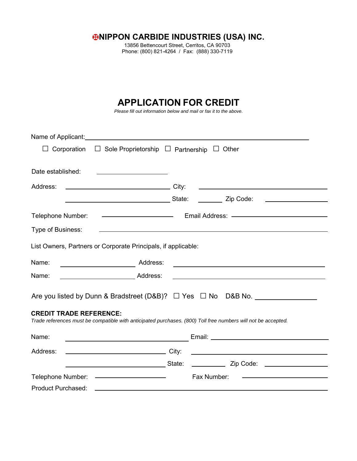**HIPPON CARBIDE INDUSTRIES (USA) INC.** 

13856 Bettencourt Street, Cerritos, CA 90703 Phone: (800) 821-4264 / Fax: (888) 330-7119

# **APPLICATION FOR CREDIT**

*Please fill out information below and mail or fax it to the above.*

| Name of Applicant: Name of Applicant Control Control of Applicant Control Control Control Control Control Control Control Control Control Control Control Control Control Control Control Control Control Control Control Cont |                                                                                                                      |  |  |  |  |
|--------------------------------------------------------------------------------------------------------------------------------------------------------------------------------------------------------------------------------|----------------------------------------------------------------------------------------------------------------------|--|--|--|--|
| Corporation $\Box$ Sole Proprietorship $\Box$ Partnership                                                                                                                                                                      | $\Box$ Other                                                                                                         |  |  |  |  |
| Date established:<br><u> 1980 - Jan Stein Stein, fransk politik (d. 1980)</u>                                                                                                                                                  |                                                                                                                      |  |  |  |  |
| Address:                                                                                                                                                                                                                       | <u> 1989 - Johann John Stein, markin fan it ferstjer fan it ferstjer fan it ferstjer fan it ferstjer fan it fers</u> |  |  |  |  |
|                                                                                                                                                                                                                                | __________ Zip Code: ______________________                                                                          |  |  |  |  |
|                                                                                                                                                                                                                                |                                                                                                                      |  |  |  |  |
| Type of Business:                                                                                                                                                                                                              | <u> 1989 - Johann Stoff, amerikansk politiker (d. 1989)</u>                                                          |  |  |  |  |
| List Owners, Partners or Corporate Principals, if applicable:                                                                                                                                                                  |                                                                                                                      |  |  |  |  |
| Name:<br>Address:<br>$\overline{\phantom{a}}$ . The contract of $\overline{\phantom{a}}$                                                                                                                                       | <u> 1989 - Johann Barn, amerikansk politiker (d. 1989)</u>                                                           |  |  |  |  |
| Address:<br>Name:                                                                                                                                                                                                              | <u> 1989 - Johann Barbara, martxa eta batarra (h. 1989).</u>                                                         |  |  |  |  |
| <b>CREDIT TRADE REFERENCE:</b>                                                                                                                                                                                                 |                                                                                                                      |  |  |  |  |
| Trade references must be compatible with anticipated purchases. (800) Toll free numbers will not be accepted.                                                                                                                  |                                                                                                                      |  |  |  |  |
| Name:                                                                                                                                                                                                                          |                                                                                                                      |  |  |  |  |
| Address:                                                                                                                                                                                                                       |                                                                                                                      |  |  |  |  |
| <u>State:</u>                                                                                                                                                                                                                  | _______________ Zip Code: ______________________                                                                     |  |  |  |  |
| Telephone Number: ————————————————————                                                                                                                                                                                         | <u> 1990 - Johann Barbara, martin amerikan ba</u><br>Fax Number:                                                     |  |  |  |  |
| <b>Product Purchased:</b>                                                                                                                                                                                                      |                                                                                                                      |  |  |  |  |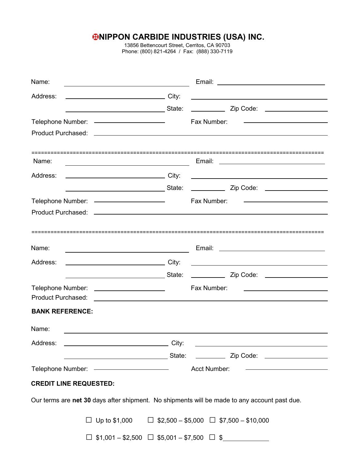## **NIPPON CARBIDE INDUSTRIES (USA) INC.**

13856 Bettencourt Street, Cerritos, CA 90703 Phone: (800) 821-4264 / Fax: (888) 330-7119

| Name:                                                                                                                        |             |                                                                                                                       |
|------------------------------------------------------------------------------------------------------------------------------|-------------|-----------------------------------------------------------------------------------------------------------------------|
| <u>City: City: City:</u><br>Address:                                                                                         |             | <u> 1989 - Johann John Stein, markin fan it fjort fan de ferstjer fan it fjort fan de ferstjer fan de ferstjer f</u>  |
| ____________________________________State:                                                                                   |             |                                                                                                                       |
| Telephone Number: ————————————————————                                                                                       | Fax Number: | the control of the control of the control of the control of the control of the control of                             |
|                                                                                                                              |             |                                                                                                                       |
|                                                                                                                              |             |                                                                                                                       |
| Name:<br><u> 1989 - Johann Barn, mars eta bainar eta baina eta baina eta baina eta baina eta baina eta baina eta baina e</u> |             |                                                                                                                       |
| Address:                                                                                                                     |             | <u> The Communication of the Communication of</u>                                                                     |
|                                                                                                                              |             |                                                                                                                       |
| Telephone Number: ————————————————————                                                                                       | Fax Number: | the control of the control of the control of the control of the control of                                            |
|                                                                                                                              |             |                                                                                                                       |
|                                                                                                                              |             |                                                                                                                       |
|                                                                                                                              |             |                                                                                                                       |
| Name:                                                                                                                        |             |                                                                                                                       |
| Address:                                                                                                                     |             | <u> 1989 - Andrea State Barbara, amerikan personal di sebagai personal di sebagai personal di sebagai personal di</u> |
| <u>State:</u>                                                                                                                |             |                                                                                                                       |
| Telephone Number: _______________________                                                                                    | Fax Number: |                                                                                                                       |
|                                                                                                                              |             |                                                                                                                       |
| <b>BANK REFERENCE:</b>                                                                                                       |             |                                                                                                                       |
| Name:                                                                                                                        |             |                                                                                                                       |
|                                                                                                                              |             |                                                                                                                       |
|                                                                                                                              |             |                                                                                                                       |
| Telephone Number: ———————————————————— Acct Number:                                                                          |             |                                                                                                                       |
| <b>CREDIT LINE REQUESTED:</b>                                                                                                |             |                                                                                                                       |
| Our terms are net 30 days after shipment. No shipments will be made to any account past due.                                 |             |                                                                                                                       |
| Up to \$1,000 $\Box$ \$2,500 - \$5,000 $\Box$ \$7,500 - \$10,000                                                             |             |                                                                                                                       |
| $$1,001 - $2,500$ $\Box$ \$5,001 - \$7,500 $\Box$ \$                                                                         |             |                                                                                                                       |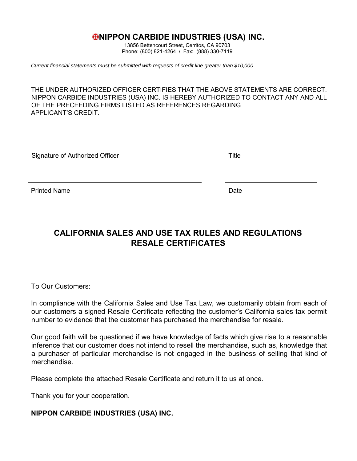#### *ENIPPON CARBIDE INDUSTRIES (USA) INC.*

13856 Bettencourt Street, Cerritos, CA 90703 Phone: (800) 821-4264 / Fax: (888) 330-7119

*Current financial statements must be submitted with requests of credit line greater than \$10,000.*

THE UNDER AUTHORIZED OFFICER CERTIFIES THAT THE ABOVE STATEMENTS ARE CORRECT. NIPPON CARBIDE INDUSTRIES (USA) INC. IS HEREBY AUTHORIZED TO CONTACT ANY AND ALL OF THE PRECEEDING FIRMS LISTED AS REFERENCES REGARDING APPLICANT'S CREDIT.

| Signature of Authorized Officer | Title |
|---------------------------------|-------|
|                                 |       |
|                                 |       |

Printed Name **Date** 

### **CALIFORNIA SALES AND USE TAX RULES AND REGULATIONS RESALE CERTIFICATES**

To Our Customers:

In compliance with the California Sales and Use Tax Law, we customarily obtain from each of our customers a signed Resale Certificate reflecting the customer's California sales tax permit number to evidence that the customer has purchased the merchandise for resale.

Our good faith will be questioned if we have knowledge of facts which give rise to a reasonable inference that our customer does not intend to resell the merchandise, such as, knowledge that a purchaser of particular merchandise is not engaged in the business of selling that kind of merchandise.

Please complete the attached Resale Certificate and return it to us at once.

Thank you for your cooperation.

#### **NIPPON CARBIDE INDUSTRIES (USA) INC.**